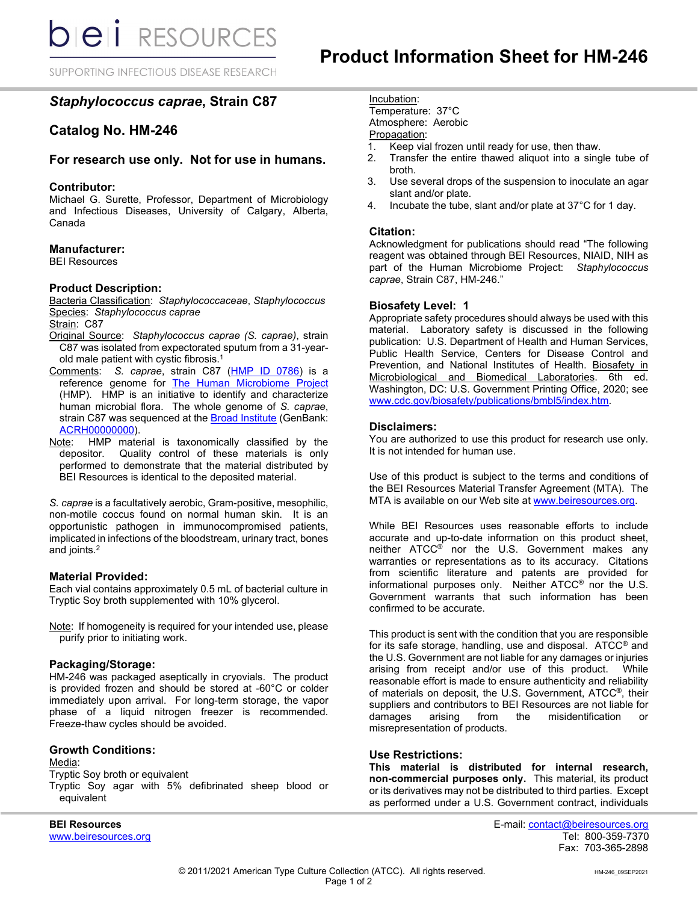SUPPORTING INFECTIOUS DISEASE RESEARCH

# *Staphylococcus caprae***, Strain C87**

# **Catalog No. HM-246**

## **For research use only. Not for use in humans.**

#### **Contributor:**

Michael G. Surette, Professor, Department of Microbiology and Infectious Diseases, University of Calgary, Alberta, Canada

#### **Manufacturer:**

BEI Resources

## **Product Description:**

Bacteria Classification: *Staphylococcaceae*, *Staphylococcus* Species: *Staphylococcus caprae*

Strain: C87

- Original Source: *Staphylococcus caprae (S. caprae)*, strain C87 was isolated from expectorated sputum from a 31-yearold male patient with cystic fibrosis. $^1$
- Comments: *S. caprae*, strain C87 [\(HMP ID 0786\)](https://www.hmpdacc.org/hmp/catalog/grid.php?dataset=genomic) is a reference genome for [The Human Microbiome Project](https://www.hmpdacc.org/) (HMP). HMP is an initiative to identify and characterize human microbial flora. The whole genome of *S. caprae*, strain C87 was sequenced at the [Broad Institute](https://www.broadinstitute.org/scientific-community/science/projects/microbiome-projects/hmp/human-microbiome-project) (GenBank: [ACRH00000000\)](http://www.ncbi.nlm.nih.gov/nuccore/ACRH00000000).
- Note: HMP material is taxonomically classified by the depositor. Quality control of these materials is only performed to demonstrate that the material distributed by BEI Resources is identical to the deposited material.

*S. caprae* is a facultatively aerobic, Gram-positive, mesophilic, non-motile coccus found on normal human skin. It is an opportunistic pathogen in immunocompromised patients, implicated in infections of the bloodstream, urinary tract, bones and joints. 2

#### **Material Provided:**

Each vial contains approximately 0.5 mL of bacterial culture in Tryptic Soy broth supplemented with 10% glycerol.

Note: If homogeneity is required for your intended use, please purify prior to initiating work.

#### **Packaging/Storage:**

HM-246 was packaged aseptically in cryovials. The product is provided frozen and should be stored at -60°C or colder immediately upon arrival. For long-term storage, the vapor phase of a liquid nitrogen freezer is recommended. Freeze-thaw cycles should be avoided.

### **Growth Conditions:**

Media: Tryptic Soy broth or equivalent Tryptic Soy agar with 5% defibrinated sheep blood or equivalent

www.beiresources.org

Incubation:

Temperature: 37°C Atmosphere: Aerobic

# Propagation:

- 1. Keep vial frozen until ready for use, then thaw.
- Transfer the entire thawed aliquot into a single tube of broth.
- 3. Use several drops of the suspension to inoculate an agar slant and/or plate.
- 4. Incubate the tube, slant and/or plate at 37°C for 1 day.

### **Citation:**

Acknowledgment for publications should read "The following reagent was obtained through BEI Resources, NIAID, NIH as part of the Human Microbiome Project: *Staphylococcus caprae*, Strain C87, HM-246."

#### **Biosafety Level: 1**

Appropriate safety procedures should always be used with this material. Laboratory safety is discussed in the following publication: U.S. Department of Health and Human Services, Public Health Service, Centers for Disease Control and Prevention, and National Institutes of Health. Biosafety in Microbiological and Biomedical Laboratories. 6th ed. Washington, DC: U.S. Government Printing Office, 2020; see [www.cdc.gov/biosafety/publications/bmbl5/index.htm.](http://www.cdc.gov/biosafety/publications/bmbl5/index.htm)

#### **Disclaimers:**

You are authorized to use this product for research use only. It is not intended for human use.

Use of this product is subject to the terms and conditions of the BEI Resources Material Transfer Agreement (MTA). The MTA is available on our Web site at [www.beiresources.org.](http://www.beiresources.org/)

While BEI Resources uses reasonable efforts to include accurate and up-to-date information on this product sheet, neither ATCC<sup>®</sup> nor the U.S. Government makes any warranties or representations as to its accuracy. Citations from scientific literature and patents are provided for informational purposes only. Neither ATCC® nor the U.S. Government warrants that such information has been confirmed to be accurate.

This product is sent with the condition that you are responsible for its safe storage, handling, use and disposal. ATCC® and the U.S. Government are not liable for any damages or injuries arising from receipt and/or use of this product. reasonable effort is made to ensure authenticity and reliability of materials on deposit, the U.S. Government, ATCC®, their suppliers and contributors to BEI Resources are not liable for<br>damages arising from the misidentification or damages arising from the misidentification or misrepresentation of products.

#### **Use Restrictions:**

**This material is distributed for internal research, non-commercial purposes only.** This material, its product or its derivatives may not be distributed to third parties. Except as performed under a U.S. Government contract, individuals